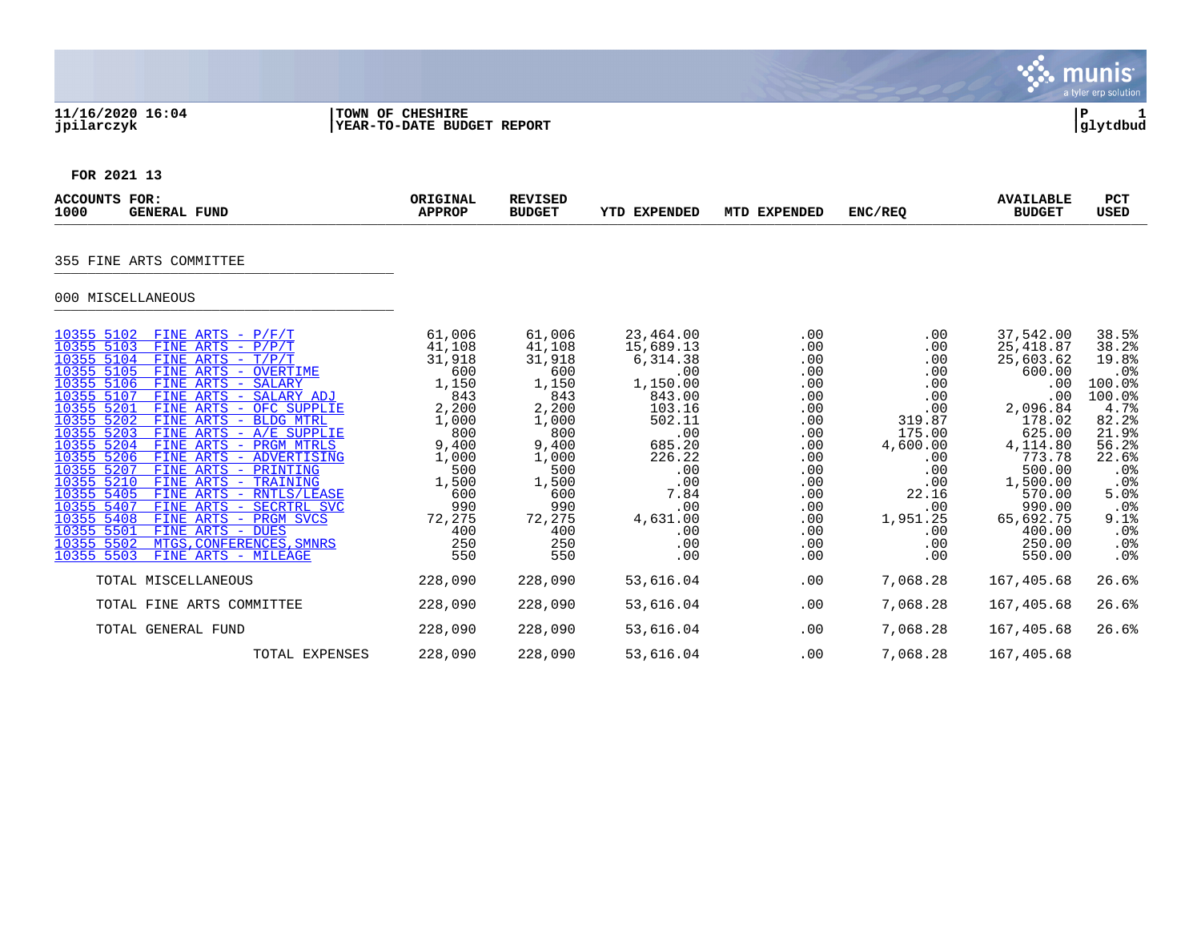## **11/16/2020 16:04 |TOWN OF CHESHIRE |P 1 jpilarczyk |YEAR-TO-DATE BUDGET REPORT |glytdbud**



**FOR 2021 13**

| <b>ACCOUNTS FOR:</b><br>1000<br><b>GENERAL FUND</b>                                                                                                                                                                                                                                                                                                                                                                                                                                                                                                                                                                                                                                                                                                           | ORIGINAL<br><b>APPROP</b>                                                                                                                                 | <b>REVISED</b><br><b>BUDGET</b>                                                                                                                           | <b>YTD EXPENDED</b>                                                                                                                                                          | MTD EXPENDED                                                                                                                      | ENC/REQ                                                                                                                                                  | <b>AVAILABLE</b><br><b>BUDGET</b>                                                                                                                                                                       | <b>PCT</b><br><b>USED</b>                                                                                                                                                  |
|---------------------------------------------------------------------------------------------------------------------------------------------------------------------------------------------------------------------------------------------------------------------------------------------------------------------------------------------------------------------------------------------------------------------------------------------------------------------------------------------------------------------------------------------------------------------------------------------------------------------------------------------------------------------------------------------------------------------------------------------------------------|-----------------------------------------------------------------------------------------------------------------------------------------------------------|-----------------------------------------------------------------------------------------------------------------------------------------------------------|------------------------------------------------------------------------------------------------------------------------------------------------------------------------------|-----------------------------------------------------------------------------------------------------------------------------------|----------------------------------------------------------------------------------------------------------------------------------------------------------|---------------------------------------------------------------------------------------------------------------------------------------------------------------------------------------------------------|----------------------------------------------------------------------------------------------------------------------------------------------------------------------------|
| 355 FINE ARTS COMMITTEE<br>000 MISCELLANEOUS                                                                                                                                                                                                                                                                                                                                                                                                                                                                                                                                                                                                                                                                                                                  |                                                                                                                                                           |                                                                                                                                                           |                                                                                                                                                                              |                                                                                                                                   |                                                                                                                                                          |                                                                                                                                                                                                         |                                                                                                                                                                            |
| 10355 5102<br>FINE ARTS - $P/F/T$<br>10355 5103<br>FINE ARTS - $P/P/T$<br>10355 5104<br>FINE ARTS - $T/P/T$<br>10355 5105<br>FINE ARTS - OVERTIME<br>10355 5106<br>FINE ARTS - SALARY<br>10355 5107<br>FINE ARTS - SALARY ADJ<br>10355 5201<br>FINE ARTS - OFC SUPPLIE<br>10355 5202<br>FINE ARTS - BLDG MTRL<br>10355 5203<br>FINE ARTS - A/E SUPPLIE<br>10355 5204<br>FINE ARTS - PRGM MTRLS<br>10355 5206<br>FINE ARTS - ADVERTISING<br>10355 5207<br>FINE ARTS - PRINTING<br>10355 5210<br>FINE ARTS - TRAINING<br>10355 5405<br>FINE ARTS - RNTLS/LEASE<br>10355 5407<br>FINE ARTS - SECRTRL SVC<br>10355 5408<br>FINE ARTS - PRGM SVCS<br>10355 5501<br>FINE ARTS - DUES<br>10355 5502<br>MTGS, CONFERENCES, SMNRS<br>10355 5503<br>FINE ARTS - MILEAGE | 61,006<br>41,108<br>31,918<br>600<br>1,150<br>843<br>2,200<br>1,000<br>800<br>9,400<br>1,000<br>500<br>1,500<br>600<br>990<br>72,275<br>400<br>250<br>550 | 61,006<br>41,108<br>31,918<br>600<br>1,150<br>843<br>2,200<br>1,000<br>800<br>9,400<br>1,000<br>500<br>1,500<br>600<br>990<br>72,275<br>400<br>250<br>550 | 23,464.00<br>15,689.13<br>6,314.38<br>.00<br>1,150.00<br>843.00<br>103.16<br>502.11<br>.00<br>685.20<br>226.22<br>.00<br>.00<br>7.84<br>.00<br>4,631.00<br>.00<br>.00<br>.00 | .00<br>.00<br>.00<br>.00<br>.00<br>.00<br>.00<br>.00<br>.00<br>.00<br>.00<br>.00<br>.00<br>.00<br>.00<br>.00<br>.00<br>.00<br>.00 | .00<br>.00<br>.00<br>.00<br>.00<br>.00<br>.00<br>319.87<br>175.00<br>4,600.00<br>.00<br>.00<br>.00<br>22.16<br>.00<br>1,951.25<br>.00<br>$.00 \,$<br>.00 | 37,542.00<br>25, 418.87<br>25,603.62<br>600.00<br>.00<br>.00<br>2,096.84<br>178.02<br>625.00<br>4,114.80<br>773.78<br>500.00<br>1,500.00<br>570.00<br>990.00<br>65,692.75<br>400.00<br>250.00<br>550.00 | 38.5%<br>38.2%<br>19.8%<br>.0 <sub>8</sub><br>100.0%<br>100.0%<br>4.7%<br>82.2%<br>21.9%<br>56.2%<br>22.6%<br>.0%<br>.0%<br>5.0%<br>.0%<br>9.1%<br>$.0\%$<br>$.0\%$<br>.0% |
| TOTAL MISCELLANEOUS                                                                                                                                                                                                                                                                                                                                                                                                                                                                                                                                                                                                                                                                                                                                           | 228,090                                                                                                                                                   | 228,090                                                                                                                                                   | 53,616.04                                                                                                                                                                    | .00                                                                                                                               | 7,068.28                                                                                                                                                 | 167,405.68                                                                                                                                                                                              | 26.6%                                                                                                                                                                      |
| TOTAL FINE ARTS COMMITTEE                                                                                                                                                                                                                                                                                                                                                                                                                                                                                                                                                                                                                                                                                                                                     | 228,090                                                                                                                                                   | 228,090                                                                                                                                                   | 53,616.04                                                                                                                                                                    | .00                                                                                                                               | 7,068.28                                                                                                                                                 | 167,405.68                                                                                                                                                                                              | 26.6%                                                                                                                                                                      |
| TOTAL GENERAL FUND                                                                                                                                                                                                                                                                                                                                                                                                                                                                                                                                                                                                                                                                                                                                            | 228,090                                                                                                                                                   | 228,090                                                                                                                                                   | 53,616.04                                                                                                                                                                    | .00                                                                                                                               | 7,068.28                                                                                                                                                 | 167,405.68                                                                                                                                                                                              | 26.6%                                                                                                                                                                      |
| TOTAL EXPENSES                                                                                                                                                                                                                                                                                                                                                                                                                                                                                                                                                                                                                                                                                                                                                | 228,090                                                                                                                                                   | 228,090                                                                                                                                                   | 53,616.04                                                                                                                                                                    | .00                                                                                                                               | 7,068.28                                                                                                                                                 | 167,405.68                                                                                                                                                                                              |                                                                                                                                                                            |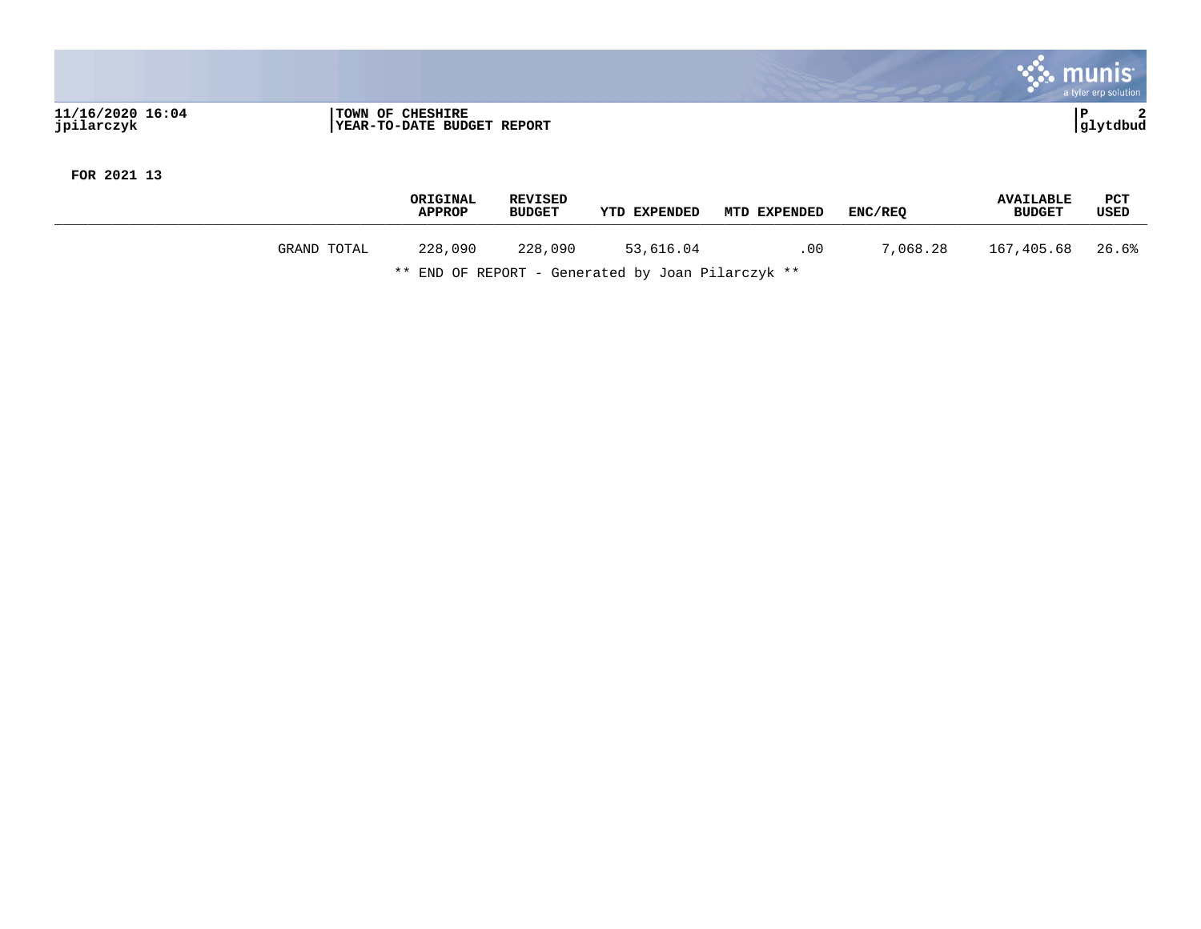|                                |                                                       | a tyler erp solution |
|--------------------------------|-------------------------------------------------------|----------------------|
| 11/16/2020 16:04<br>jpilarczyk | <b>TOWN OF CHESHIRE</b><br>YEAR-TO-DATE BUDGET REPORT | glytdbud             |

**FOR 2021 13**

|         |     |                                                          |            | USED                                                                             |
|---------|-----|----------------------------------------------------------|------------|----------------------------------------------------------------------------------|
| 228,090 | .00 | 7,068.28                                                 | 167,405.68 | 26.6%                                                                            |
|         |     | 53,616.04<br>.<br>- - -<br>$\sim$<br>2010/01/01 12:00:00 |            | ENC/REO<br><b>YTD EXPENDED</b><br>MTD EXPENDED<br><b>BUDGET</b><br><b>BUDGET</b> |

\*\* END OF REPORT - Generated by Joan Pilarczyk \*\*